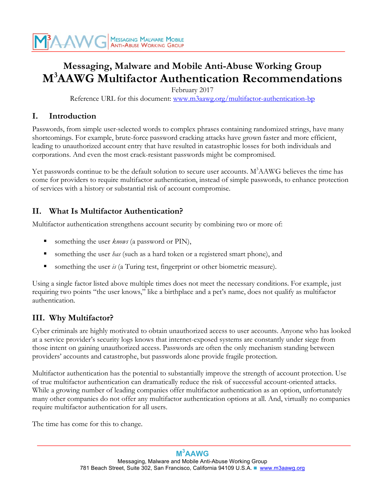

# **Messaging, Malware and Mobile Anti-Abuse Working Group M3 AAWG Multifactor Authentication Recommendations**

February 2017

Reference URL for this document: [www.m3aawg.org/multifactor-authentication-bp](http://www.m3aawg.org/multifactor-authentication-bp)

#### **I. Introduction**

Passwords, from simple user-selected words to complex phrases containing randomized strings, have many shortcomings. For example, brute-force password cracking attacks have grown faster and more efficient, leading to unauthorized account entry that have resulted in catastrophic losses for both individuals and corporations. And even the most crack-resistant passwords might be compromised.

Yet passwords continue to be the default solution to secure user accounts. M<sup>3</sup>AAWG believes the time has come for providers to require multifactor authentication, instead of simple passwords, to enhance protection of services with a history or substantial risk of account compromise.

#### **II. What Is Multifactor Authentication?**

Multifactor authentication strengthens account security by combining two or more of:

- § something the user *knows* (a password or PIN),
- § something the user *has* (such as a hard token or a registered smart phone), and
- something the user *is* (a Turing test, fingerprint or other biometric measure).

Using a single factor listed above multiple times does not meet the necessary conditions. For example, just requiring two points "the user knows," like a birthplace and a pet's name, does not qualify as multifactor authentication.

#### **III. Why Multifactor?**

Cyber criminals are highly motivated to obtain unauthorized access to user accounts. Anyone who has looked at a service provider's security logs knows that internet-exposed systems are constantly under siege from those intent on gaining unauthorized access. Passwords are often the only mechanism standing between providers' accounts and catastrophe, but passwords alone provide fragile protection.

Multifactor authentication has the potential to substantially improve the strength of account protection. Use of true multifactor authentication can dramatically reduce the risk of successful account-oriented attacks. While a growing number of leading companies offer multifactor authentication as an option, unfortunately many other companies do not offer any multifactor authentication options at all*.* And, virtually no companies require multifactor authentication for all users.

The time has come for this to change.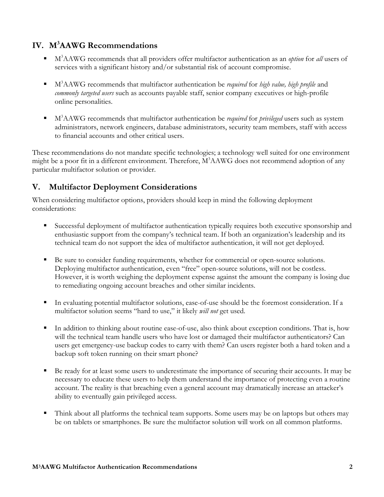## **IV. M3 AAWG Recommendations**

- § M3 AAWG recommends that all providers offer multifactor authentication as an *option* for *all* users of services with a significant history and/or substantial risk of account compromise.
- M<sup>3</sup>AAWG recommends that multifactor authentication be *required* for *high value, high profile* and *commonly targeted users* such as accounts payable staff, senior company executives or high-profile online personalities.
- M<sup>3</sup>AAWG recommends that multifactor authentication be *required* for *privileged* users such as system administrators, network engineers, database administrators, security team members, staff with access to financial accounts and other critical users.

These recommendations do not mandate specific technologies; a technology well suited for one environment might be a poor fit in a different environment. Therefore, M<sup>3</sup>AAWG does not recommend adoption of any particular multifactor solution or provider.

## **V. Multifactor Deployment Considerations**

When considering multifactor options, providers should keep in mind the following deployment considerations:

- Successful deployment of multifactor authentication typically requires both executive sponsorship and enthusiastic support from the company's technical team. If both an organization's leadership and its technical team do not support the idea of multifactor authentication, it will not get deployed.
- Be sure to consider funding requirements, whether for commercial or open-source solutions. Deploying multifactor authentication, even "free" open-source solutions, will not be costless. However, it is worth weighing the deployment expense against the amount the company is losing due to remediating ongoing account breaches and other similar incidents.
- In evaluating potential multifactor solutions, ease-of-use should be the foremost consideration. If a multifactor solution seems "hard to use," it likely *will not* get used.
- In addition to thinking about routine ease-of-use, also think about exception conditions. That is, how will the technical team handle users who have lost or damaged their multifactor authenticators? Can users get emergency-use backup codes to carry with them? Can users register both a hard token and a backup soft token running on their smart phone?
- Be ready for at least some users to underestimate the importance of securing their accounts. It may be necessary to educate these users to help them understand the importance of protecting even a routine account. The reality is that breaching even a general account may dramatically increase an attacker's ability to eventually gain privileged access.
- Think about all platforms the technical team supports. Some users may be on laptops but others may be on tablets or smartphones. Be sure the multifactor solution will work on all common platforms.